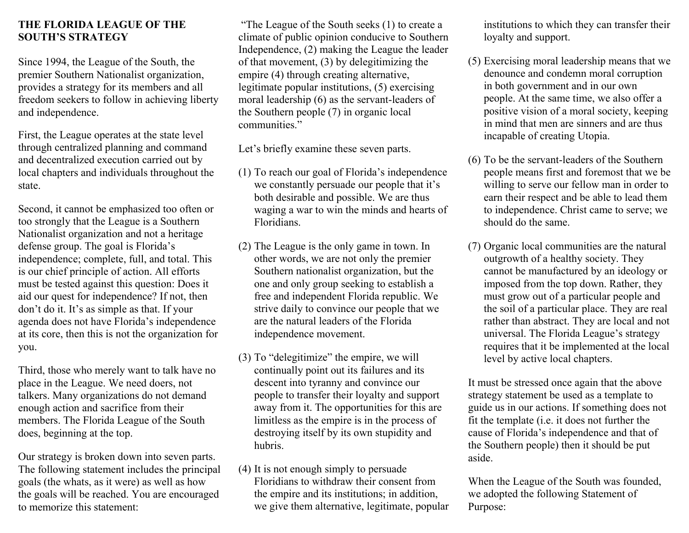## **THE FLORIDA LEAGUE OF THE SOUTH'S STRATEGY**

Since 1994, the League of the South, the premier Southern Nationalist organization, provides a strategy for its members and all freedom seekers to follow in achieving liberty and independence.

First, the League operates at the state level through centralized planning and command and decentralized execution carried out by local chapters and individuals throughout the state.

Second, it cannot be emphasized too often or too strongly that the League is a Southern Nationalist organization and not a heritage defense group. The goal is Florida's independence; complete, full, and total. This is our chief principle of action. All efforts must be tested against this question: Does it aid our quest for independence? If not, then don't do it. It's as simple as that. If your agenda does not have Florida's independence at its core, then this is not the organization for you.

Third, those who merely want to talk have no place in the League. We need doers, not talkers. Many organizations do not demand enough action and sacrifice from their members. The Florida League of the South does, beginning at the top.

Our strategy is broken down into seven parts. The following statement includes the principal goals (the whats, as it were) as well as how the goals will be reached. You are encouraged to memorize this statement:

"The League of the South seeks (1) to create a climate of public opinion conducive to Southern Independence, (2) making the League the leader of that movement, (3) by delegitimizing the empire (4) through creating alternative, legitimate popular institutions, (5) exercising moral leadership (6) as the servant-leaders of the Southern people (7) in organic local communities."

Let's briefly examine these seven parts.

- (1) To reach our goal of Florida's independence we constantly persuade our people that it's both desirable and possible. We are thus waging a war to win the minds and hearts of Floridians.
- (2) The League is the only game in town. In other words, we are not only the premier Southern nationalist organization, but the one and only group seeking to establish a free and independent Florida republic. We strive daily to convince our people that we are the natural leaders of the Florida independence movement.
- (3) To "delegitimize" the empire, we will continually point out its failures and its descent into tyranny and convince our people to transfer their loyalty and support away from it. The opportunities for this are limitless as the empire is in the process of destroying itself by its own stupidity and hubris.
- (4) It is not enough simply to persuade Floridians to withdraw their consent from the empire and its institutions; in addition, we give them alternative, legitimate, popular

institutions to which they can transfer their loyalty and support.

- (5) Exercising moral leadership means that we denounce and condemn moral corruption in both government and in our own people. At the same time, we also offer a positive vision of a moral society, keeping in mind that men are sinners and are thus incapable of creating Utopia.
- (6) To be the servant-leaders of the Southern people means first and foremost that we be willing to serve our fellow man in order to earn their respect and be able to lead them to independence. Christ came to serve; we should do the same.
- (7) Organic local communities are the natural outgrowth of a healthy society. They cannot be manufactured by an ideology or imposed from the top down. Rather, they must grow out of a particular people and the soil of a particular place. They are real rather than abstract. They are local and not universal. The Florida League's strategy requires that it be implemented at the local level by active local chapters.

It must be stressed once again that the above strategy statement be used as a template to guide us in our actions. If something does not fit the template (i.e. it does not further the cause of Florida's independence and that of the Southern people) then it should be put aside.

When the League of the South was founded, we adopted the following Statement of Purpose: